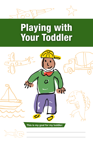



# Playing with Your Toddler

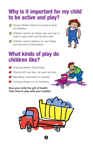## **Why is it important for my child to be active and play?**

- **1** Young children need to be active to grow and develop.
- **1** Children need to do things over and over in order to learn them and do them well.
- **(1)** Children need to explore, try new things and discover for themselves.



### **What kinds of play do children like?**

- 45 Copying parents doing things
- **43** Playing with toys they can push and pull
- **45** Repeating movements or activities
- 45 Dumping things out of containers

**Give your child the gift of health. Take time to play with your toddler.**



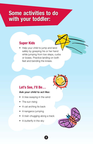### **Some activities to do with your toddler:**

### **Super Kids**

• Help your child to jump and land safely by grasping his or her hand while jumping from low steps, curbs or boxes. Practice landing on both feet and bending the knees.

### Let's See, I'll Be...

#### **Ask your child to act like:**

- A tree swaying in the wind
- The sun rising
- A cat arching its back
- A kangaroo jumping
- A train chugging along a track
- A butterfly in the sky



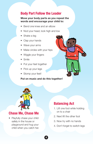### **Body Part Follow the Leader**

#### **Move your body parts as you repeat the words and encourage your child to:**

- Bend one knee and an elbow
- Nod your head, look high and low
- Shake a leg
- Clap your hands
- Wave your arms
- Make circles with your hips
- Wiggle your fingers
- Smile
- Put your feet together
- Pick up your legs
- Stomp your feet!

#### **Put on music and do this together!**

4



### **Chase Me, Chase Me**

• Playfully chase your child safely in the house or playground and hug your child when you catch her.

### **Balancing Act**

- 1. Lift one foot while holding on to a chair
- 2. Next lift the other foot
- 3. Now try with no hands
- 4. Don't forget to switch legs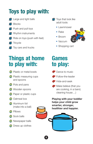# **Toys to play with:**

- **147** Large and light balls
- **All** Blocks
- **141** Push and pull toys
- **n** Rhythm instruments
- $\blacksquare$  Ride on toys (push with feet)
- **n** Tricycle
- **1** Toy cars and trucks

# **Things at home to play with:**

- **1** Plastic or metal bowls
- **<sup>1</sup>** Plastic measuring cups and spoons
- **1** Pots and pans
- **C** Wooden spoons
- **<sup>1</sup>** Paper or plastic cups
- **1** Oatmeal box
- **1** Aluminum foil (make into a ball)
- *I***D** Pillows
- **1** Sock balls
- **1** Newspaper balls
- **C** Dress up clothes
- **1** Toys that look like adult tools:
	- Lawnmower
	- Rake
	- Broom
	- Vaccum



• Shopping cart

# **Games to play:**

- 43 Dance to music
- 43 Follow-the-leader
- Hide-and-seek
- **43** Make believe (that you are cooking, in a band, cleaning house…)

**Playing with your toddler helps your child grow smarter, stronger, healthier and happier.**